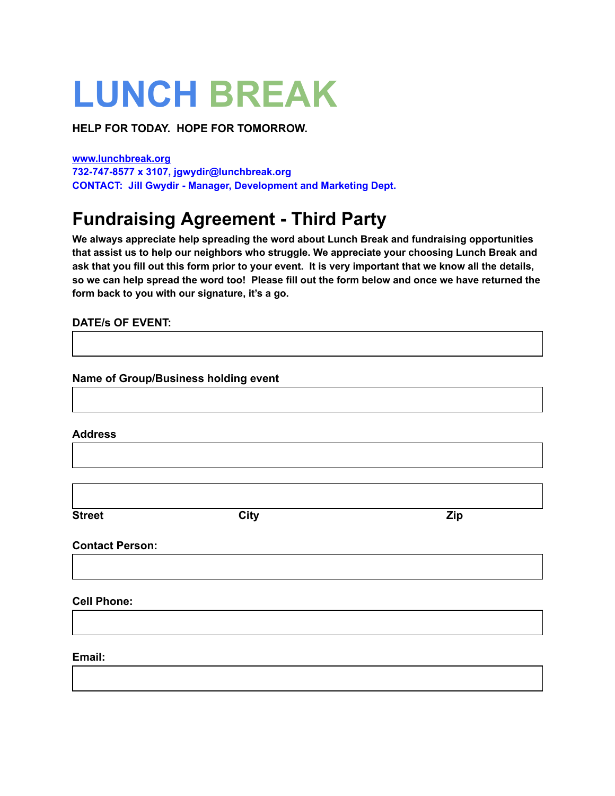## **LUNCH BREAK**

**HELP FOR TODAY. HOPE FOR TOMORROW.**

**[www.lunchbreak.org](http://www.lunchbreak.org/) 732-747-8577 x 3107, jgwydir@lunchbreak.org CONTACT: Jill Gwydir - Manager, Development and Marketing Dept.**

## **Fundraising Agreement - Third Party**

**We always appreciate help spreading the word about Lunch Break and fundraising opportunities that assist us to help our neighbors who struggle. We appreciate your choosing Lunch Break and** ask that you fill out this form prior to your event. It is very important that we know all the details, so we can help spread the word too! Please fill out the form below and once we have returned the **form back to you with our signature, it's a go.**

## **DATE/s OF EVENT:**

**Name of Group/Business holding event**

**Address**

| <b>Street</b>          | <b>City</b> | Zip |
|------------------------|-------------|-----|
| <b>Contact Person:</b> |             |     |
|                        |             |     |
| <b>Cell Phone:</b>     |             |     |
| Email:                 |             |     |